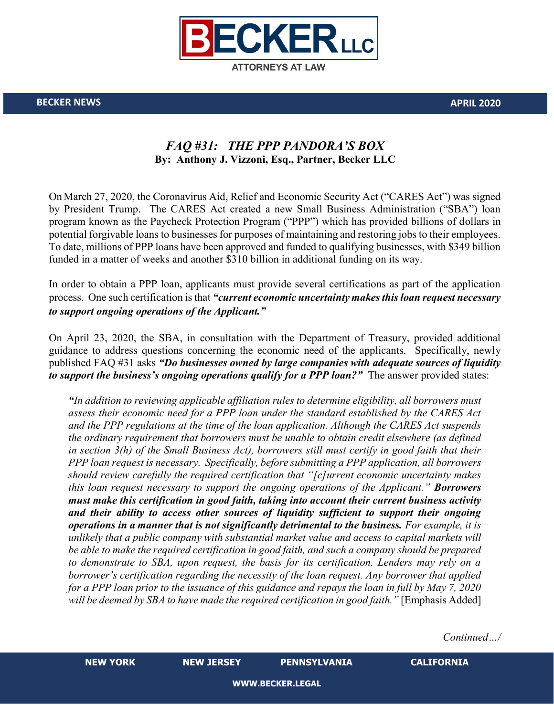

**BECKER NEWS APRIL 2020**

# *FAQ #31: THE PPP PANDORA'S BOX*   **By: Anthony J. Vizzoni, Esq., Partner, Becker LLC**

On March 27, 2020, the Coronavirus Aid, Relief and Economic Security Act ("CARES Act") was signed by President Trump. The CARES Act created a new Small Business Administration ("SBA") loan program known as the Paycheck Protection Program ("PPP") which has provided billions of dollars in potential forgivable loans to businesses for purposes of maintaining and restoring jobs to their employees. To date, millions of PPP loans have been approved and funded to qualifying businesses, with \$349 billion funded in a matter of weeks and another \$310 billion in additional funding on its way.

In order to obtain a PPP loan, applicants must provide several certifications as part of the application process. One such certification is that *"current economic uncertainty makes this loan request necessary to support ongoing operations of the Applicant."*

On April 23, 2020, the SBA, in consultation with the Department of Treasury, provided additional guidance to address questions concerning the economic need of the applicants. Specifically, newly published FAQ #31 asks *"Do businesses owned by large companies with adequate sources of liquidity to support the business's ongoing operations qualify for a PPP loan?*" The answer provided states:

*"In addition to reviewing applicable affiliation rules to determine eligibility, all borrowers must assess their economic need for a PPP loan under the standard established by the CARES Act and the PPP regulations at the time of the loan application. Although the CARES Act suspends the ordinary requirement that borrowers must be unable to obtain credit elsewhere (as defined in section 3(h) of the Small Business Act), borrowers still must certify in good faith that their PPP loan request is necessary. Specifically, before submitting a PPP application, all borrowers should review carefully the required certification that "[c]urrent economic uncertainty makes this loan request necessary to support the ongoing operations of the Applicant." Borrowers must make this certification in good faith, taking into account their current business activity and their ability to access other sources of liquidity sufficient to support their ongoing operations in a manner that is not significantly detrimental to the business. For example, it is unlikely that a public company with substantial market value and access to capital markets will be able to make the required certification in good faith, and such a company should be prepared to demonstrate to SBA, upon request, the basis for its certification. Lenders may rely on a borrower's certification regarding the necessity of the loan request. Any borrower that applied for a PPP loan prior to the issuance of this guidance and repays the loan in full by May 7, 2020 will be deemed by SBA to have made the required certification in good faith." [Emphasis Added]* 

*Continued…/*

**NEW YORK NEW JERSEY PENNSYLVANIA CALIFORNIA**

**WWW.BECKER.LEGAL**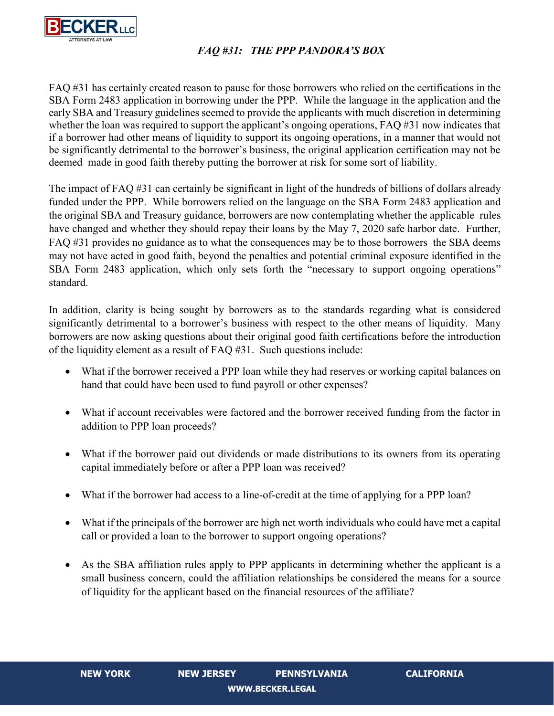

## *FAQ #31: THE PPP PANDORA'S BOX*

FAQ #31 has certainly created reason to pause for those borrowers who relied on the certifications in the SBA Form 2483 application in borrowing under the PPP. While the language in the application and the early SBA and Treasury guidelines seemed to provide the applicants with much discretion in determining whether the loan was required to support the applicant's ongoing operations, FAQ #31 now indicates that if a borrower had other means of liquidity to support its ongoing operations, in a manner that would not be significantly detrimental to the borrower's business, the original application certification may not be deemed made in good faith thereby putting the borrower at risk for some sort of liability.

The impact of FAQ #31 can certainly be significant in light of the hundreds of billions of dollars already funded under the PPP. While borrowers relied on the language on the SBA Form 2483 application and the original SBA and Treasury guidance, borrowers are now contemplating whether the applicable rules have changed and whether they should repay their loans by the May 7, 2020 safe harbor date. Further, FAQ #31 provides no guidance as to what the consequences may be to those borrowers the SBA deems may not have acted in good faith, beyond the penalties and potential criminal exposure identified in the SBA Form 2483 application, which only sets forth the "necessary to support ongoing operations" standard.

In addition, clarity is being sought by borrowers as to the standards regarding what is considered significantly detrimental to a borrower's business with respect to the other means of liquidity. Many borrowers are now asking questions about their original good faith certifications before the introduction of the liquidity element as a result of FAQ #31. Such questions include:

- What if the borrower received a PPP loan while they had reserves or working capital balances on hand that could have been used to fund payroll or other expenses?
- What if account receivables were factored and the borrower received funding from the factor in addition to PPP loan proceeds?
- What if the borrower paid out dividends or made distributions to its owners from its operating capital immediately before or after a PPP loan was received?
- What if the borrower had access to a line-of-credit at the time of applying for a PPP loan?
- What if the principals of the borrower are high net worth individuals who could have met a capital call or provided a loan to the borrower to support ongoing operations?
- As the SBA affiliation rules apply to PPP applicants in determining whether the applicant is a small business concern, could the affiliation relationships be considered the means for a source of liquidity for the applicant based on the financial resources of the affiliate?